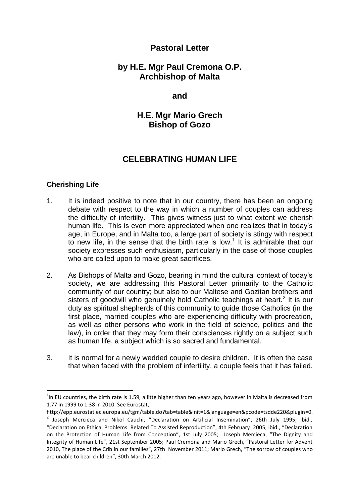# **Pastoral Letter**

# **by H.E. Mgr Paul Cremona O.P. Archbishop of Malta**

**and**

**H.E. Mgr Mario Grech Bishop of Gozo**

# **CELEBRATING HUMAN LIFE**

### **Cherishing Life**

**.** 

- 1. It is indeed positive to note that in our country, there has been an ongoing debate with respect to the way in which a number of couples can address the difficulty of infertilty. This gives witness just to what extent we cherish human life. This is even more appreciated when one realizes that in today's age, in Europe, and in Malta too, a large part of society is stingy with respect to new life, in the sense that the birth rate is low.<sup>1</sup> It is admirable that our society expresses such enthusiasm, particularly in the case of those couples who are called upon to make great sacrifices.
- 2. As Bishops of Malta and Gozo, bearing in mind the cultural context of today's society, we are addressing this Pastoral Letter primarily to the Catholic community of our country; but also to our Maltese and Gozitan brothers and sisters of goodwill who genuinely hold Catholic teachings at heart.<sup>2</sup> It is our duty as spiritual shepherds of this community to guide those Catholics (in the first place, married couples who are experiencing difficulty with procreation, as well as other persons who work in the field of science, politics and the law), in order that they may form their consciences rightly on a subject such as human life, a subject which is so sacred and fundamental.
- 3. It is normal for a newly wedded couple to desire children. It is often the case that when faced with the problem of infertility, a couple feels that it has failed.

 $<sup>1</sup>$ In EU countries, the birth rate is 1.59, a litte higher than ten years ago, however in Malta is decreased from</sup> 1.77 in 1999 to 1.38 in 2010. See Eurostat,

http://epp.eurostat.ec.europa.eu/tgm/table.do?tab=table&init=1&language=en&pcode=tsdde220&plugin=0.

<sup>&</sup>lt;sup>2</sup> Joseph Mercieca and Nikol Cauchi, "Declaration on Artificial Insemination", 26th July 1995; ibid., "Declaration on Ethical Problems Related To Assisted Reproduction", 4th February 2005; ibid., "Declaration on the Protection of Human Life from Conception", 1st July 2005; Joseph Mercieca, "The Dignity and Integrity of Human Life", 21st September 2005; Paul Cremona and Mario Grech, "Pastoral Letter for Advent 2010, The place of the Crib in our families", 27th November 2011; Mario Grech, "The sorrow of couples who are unable to bear children", 30th March 2012.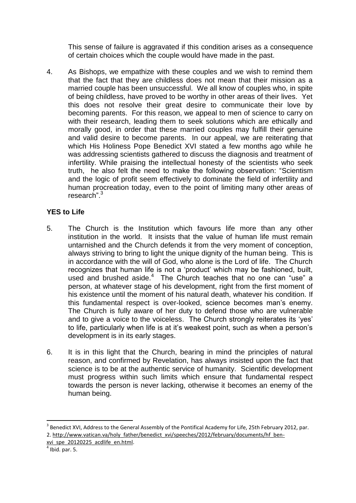This sense of failure is aggravated if this condition arises as a consequence of certain choices which the couple would have made in the past.

4. As Bishops, we empathize with these couples and we wish to remind them that the fact that they are childless does not mean that their mission as a married couple has been unsuccessful. We all know of couples who, in spite of being childless, have proved to be worthy in other areas of their lives. Yet this does not resolve their great desire to communicate their love by becoming parents. For this reason, we appeal to men of science to carry on with their research, leading them to seek solutions which are ethically and morally good, in order that these married couples may fulfill their genuine and valid desire to become parents. In our appeal, we are reiterating that which His Holiness Pope Benedict XVI stated a few months ago while he was addressing scientists gathered to discuss the diagnosis and treatment of infertility. While praising the intellectual honesty of the scientists who seek truth, he also felt the need to make the following observation: "Scientism and the logic of profit seem effectively to dominate the field of infertility and human procreation today, even to the point of limiting many other areas of research"<sup>3</sup>

### **YES to Life**

- 5. The Church is the Institution which favours life more than any other institution in the world. It insists that the value of human life must remain untarnished and the Church defends it from the very moment of conception, always striving to bring to light the unique dignity of the human being. This is in accordance with the will of God, who alone is the Lord of life. The Church recognizes that human life is not a 'product' which may be fashioned, built, used and brushed aside.<sup>4</sup> The Church teaches that no one can "use" a person, at whatever stage of his development, right from the first moment of his existence until the moment of his natural death, whatever his condition. If this fundamental respect is over-looked, science becomes man's enemy. The Church is fully aware of her duty to defend those who are vulnerable and to give a voice to the voiceless. The Church strongly reiterates its 'yes' to life, particularly when life is at it's weakest point, such as when a person's development is in its early stages.
- 6. It is in this light that the Church, bearing in mind the principles of natural reason, and confirmed by Revelation, has always insisted upon the fact that science is to be at the authentic service of humanity. Scientific development must progress within such limits which ensure that fundamental respect towards the person is never lacking, otherwise it becomes an enemy of the human being.

1

 $3$  Benedict XVI, Address to the General Assembly of the Pontifical Academy for Life, 25th February 2012, par. 2. [http://www.vatican.va/holy\\_father/benedict\\_xvi/speeches/2012/february/documents/hf\\_ben-](http://www.vatican.va/holy_father/benedict_xvi/speeches/2012/february/documents/hf_ben-xvi_spe_20120225_acdlife_en.html)

[xvi\\_spe\\_20120225\\_acdlife\\_en.html.](http://www.vatican.va/holy_father/benedict_xvi/speeches/2012/february/documents/hf_ben-xvi_spe_20120225_acdlife_en.html) 

 $<sup>4</sup>$  Ibid. par. 5.</sup>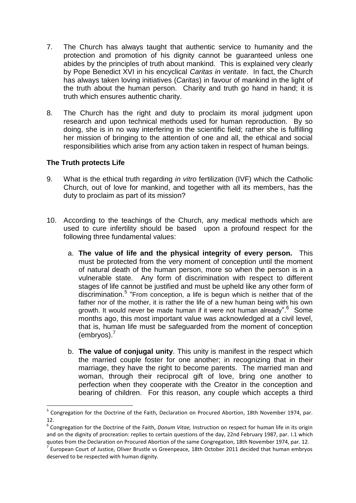- 7. The Church has always taught that authentic service to humanity and the protection and promotion of his dignity cannot be guaranteed unless one abides by the principles of truth about mankind. This is explained very clearly by Pope Benedict XVI in his encyclical *Caritas in veritate*. In fact, the Church has always taken loving initiatives (*Caritas*) in favour of mankind in the light of the truth about the human person. Charity and truth go hand in hand; it is truth which ensures authentic charity.
- 8. The Church has the right and duty to proclaim its moral judgment upon research and upon technical methods used for human reproduction. By so doing, she is in no way interfering in the scientific field; rather she is fulfilling her mission of bringing to the attention of one and all, the ethical and social responsibilities which arise from any action taken in respect of human beings.

### **The Truth protects Life**

 $\overline{a}$ 

- 9. What is the ethical truth regarding *in vitro* fertilization (IVF) which the Catholic Church, out of love for mankind, and together with all its members, has the duty to proclaim as part of its mission?
- 10. According to the teachings of the Church, any medical methods which are used to cure infertility should be based upon a profound respect for the following three fundamental values:
	- a. **The value of life and the physical integrity of every person.** This must be protected from the very moment of conception until the moment of natural death of the human person, more so when the person is in a vulnerable state. Any form of discrimination with respect to different stages of life cannot be justified and must be upheld like any other form of discrimination.<sup>5</sup> "From conception, a life is begun which is neither that of the father nor of the mother, it is rather the life of a new human being with his own growth. It would never be made human if it were not human already".<sup>6</sup> Some months ago, this most important value was acknowledged at a civil level, that is, human life must be safeguarded from the moment of conception  $(embryos).<sup>7</sup>$
	- b. **The value of conjugal unity**. This unity is manifest in the respect which the married couple foster for one another; in recognizing that in their marriage, they have the right to become parents. The married man and woman, through their reciprocal gift of love, bring one another to perfection when they cooperate with the Creator in the conception and bearing of children. For this reason, any couple which accepts a third

<sup>&</sup>lt;sup>5</sup> Congregation for the Doctrine of the Faith, Declaration on Procured Abortion, 18th November 1974, par. 12.

<sup>6</sup> Congregation for the Doctrine of the Faith, *Donum Vitae,* Instruction on respect for human life in its origin and on the dignity of procreation: replies to certain questions of the day, 22nd February 1987, par. I.1 which quotes from the Declaration on Procured Abortion of the same Congregation, 18th November 1974, par. 12.

<sup>7</sup> European Court of Justice, Oliver Brustle vs Greenpeace, 18th October 2011 decided that human embryos deserved to be respected with human dignity.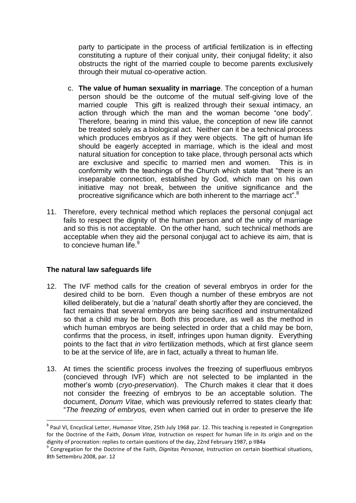party to participate in the process of artificial fertilization is in effecting constituting a rupture of their conjual unity, their conjugal fidelity; it also obstructs the right of the married couple to become parents exclusively through their mutual co-operative action.

- c. **The value of human sexuality in marriage**. The conception of a human person should be the outcome of the mutual self-giving love of the married couple This gift is realized through their sexual intimacy, an action through which the man and the woman become "one body". Therefore, bearing in mind this value, the conception of new life cannot be treated solely as a biological act. Neither can it be a technical process which produces embryos as if they were objects. The gift of human life should be eagerly accepted in marriage, which is the ideal and most natural situation for conception to take place, through personal acts which are exclusive and specific to married men and women. This is in conformity with the teachings of the Church which state that "there is an inseparable connection, established by God, which man on his own initiative may not break, between the unitive significance and the procreative significance which are both inherent to the marriage act".<sup>8</sup>
- 11. Therefore, every technical method which replaces the personal conjugal act fails to respect the dignity of the human person and of the unity of marriage and so this is not acceptable. On the other hand, such technical methods are acceptable when they aid the personal conjugal act to achieve its aim, that is to concieve human life.<sup>9</sup>

### **The natural law safeguards life**

 $\overline{a}$ 

- 12. The IVF method calls for the creation of several embryos in order for the desired child to be born. Even though a number of these embryos are not killed deliberately, but die a 'natural' death shortly after they are concieved, the fact remains that several embryos are being sacrificed and instrumentalized so that a child may be born. Both this procedure, as well as the method in which human embryos are being selected in order that a child may be born, confirms that the process, in itself, infringes upon human dignity. Everything points to the fact that *in vitro* fertilization methods, which at first glance seem to be at the service of life, are in fact, actually a threat to human life.
- 13. At times the scientific process involves the freezing of superfluous embryos (concieved through IVF) which are not selected to be implanted in the mother's womb (*cryo-preservation*). The Church makes it clear that it does not consider the freezing of embryos to be an acceptable solution. The document, *Donum Vitae,* which was previously referred to states clearly that: "*The freezing of embryos,* even when carried out in order to preserve the life

<sup>8</sup> Paul VI, Encyclical Letter, *Humanae Vitae*, 25th July 1968 par. 12. This teaching is repeated in Congregation for the Doctrine of the Faith, *Donum Vitae,* Instruction on respect for human life in its origin and on the dignity of procreation: replies to certain questions of the day, 22nd February 1987, p IIB4a

<sup>9</sup> Congregation for the Doctrine of the Faith, *Dignitas Personae,* Instruction on certain bioethical situations, 8th Settembru 2008, par. 12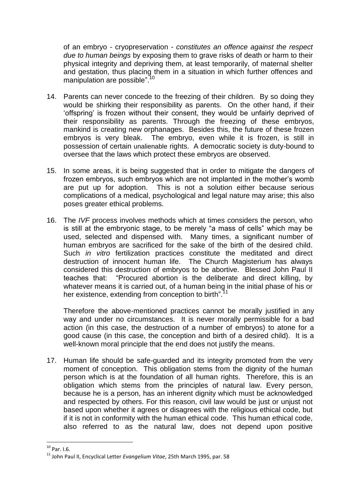of an embryo - cryopreservation - *constitutes an offence against the respect due to human beings* by exposing them to grave risks of death or harm to their physical integrity and depriving them, at least temporarily, of maternal shelter and gestation, thus placing them in a situation in which further offences and manipulation are possible".<sup>10</sup>

- 14. Parents can never concede to the freezing of their children. By so doing they would be shirking their responsibility as parents. On the other hand, if their 'offspring' is frozen without their consent, they would be unfairly deprived of their responsibility as parents. Through the freezing of these embryos, mankind is creating new orphanages. Besides this, the future of these frozen embryos is very bleak. The embryo, even while it is frozen, is still in possession of certain unalienable rights. A democratic society is duty-bound to oversee that the laws which protect these embryos are observed.
- 15. In some areas, it is being suggested that in order to mitigate the dangers of frozen embryos, such embryos which are not implanted in the mother's womb are put up for adoption. This is not a solution either because serious complications of a medical, psychological and legal nature may arise; this also poses greater ethical problems.
- 16. The *IVF* process involves methods which at times considers the person, who is still at the embryonic stage, to be merely "a mass of cells" which may be used, selected and dispensed with. Many times, a significant number of human embryos are sacrificed for the sake of the birth of the desired child. Such *in vitro* fertilization practices constitute the meditated and direct destruction of innocent human life. The Church Magisterium has always considered this destruction of embryos to be abortive. Blessed John Paul II teaches that: "Procured abortion is the deliberate and direct killing, by whatever means it is carried out, of a human being in the initial phase of his or her existence, extending from conception to birth".<sup>1</sup>

Therefore the above-mentioned practices cannot be morally justified in any way and under no circumstances. It is never morally permissible for a bad action (in this case, the destruction of a number of embryos) to atone for a good cause (in this case, the conception and birth of a desired child). It is a well-known moral principle that the end does not justify the means.

17. Human life should be safe-guarded and its integrity promoted from the very moment of conception. This obligation stems from the dignity of the human person which is at the foundation of all human rights. Therefore, this is an obligation which stems from the principles of natural law. Every person, because he is a person, has an inherent dignity which must be acknowledged and respected by others. For this reason, civil law would be just or unjust not based upon whether it agrees or disagrees with the religious ethical code, but if it is not in conformity with the human ethical code. This human ethical code, also referred to as the natural law, does not depend upon positive

1

 $10$  Par. I.6.

<sup>11</sup> John Paul II, Encyclical Letter *Evangelium Vitae*, 25th March 1995, par. 58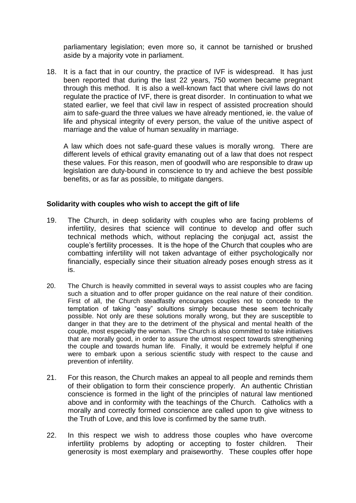parliamentary legislation; even more so, it cannot be tarnished or brushed aside by a majority vote in parliament.

18. It is a fact that in our country, the practice of IVF is widespread. It has just been reported that during the last 22 years, 750 women became pregnant through this method. It is also a well-known fact that where civil laws do not regulate the practice of IVF, there is great disorder. In continuation to what we stated earlier, we feel that civil law in respect of assisted procreation should aim to safe-guard the three values we have already mentioned, ie. the value of life and physical integrity of every person, the value of the unitive aspect of marriage and the value of human sexuality in marriage.

A law which does not safe-guard these values is morally wrong. There are different levels of ethical gravity emanating out of a law that does not respect these values. For this reason, men of goodwill who are responsible to draw up legislation are duty-bound in conscience to try and achieve the best possible benefits, or as far as possible, to mitigate dangers.

#### **Solidarity with couples who wish to accept the gift of life**

- 19. The Church, in deep solidarity with couples who are facing problems of infertility, desires that science will continue to develop and offer such technical methods which, without replacing the conjugal act, assist the couple's fertility processes. It is the hope of the Church that couples who are combatting infertility will not taken advantage of either psychologically nor financially, especially since their situation already poses enough stress as it is.
- 20. The Church is heavily committed in several ways to assist couples who are facing such a situation and to offer proper guidance on the real nature of their condition. First of all, the Church steadfastly encourages couples not to concede to the temptation of taking "easy" solultions simply because these seem technically possible. Not only are these solutions morally wrong, but they are susceptible to danger in that they are to the detriment of the physical and mental health of the couple, most especially the woman. The Church is also committed to take initiatives that are morally good, in order to assure the utmost respect towards strengthening the couple and towards human life. Finally, it would be extremely helpful if one were to embark upon a serious scientific study with respect to the cause and prevention of infertility.
- 21. For this reason, the Church makes an appeal to all people and reminds them of their obligation to form their conscience properly. An authentic Christian conscience is formed in the light of the principles of natural law mentioned above and in conformity with the teachings of the Church. Catholics with a morally and correctly formed conscience are called upon to give witness to the Truth of Love, and this love is confirmed by the same truth.
- 22. In this respect we wish to address those couples who have overcome infertility problems by adopting or accepting to foster children. Their generosity is most exemplary and praiseworthy. These couples offer hope